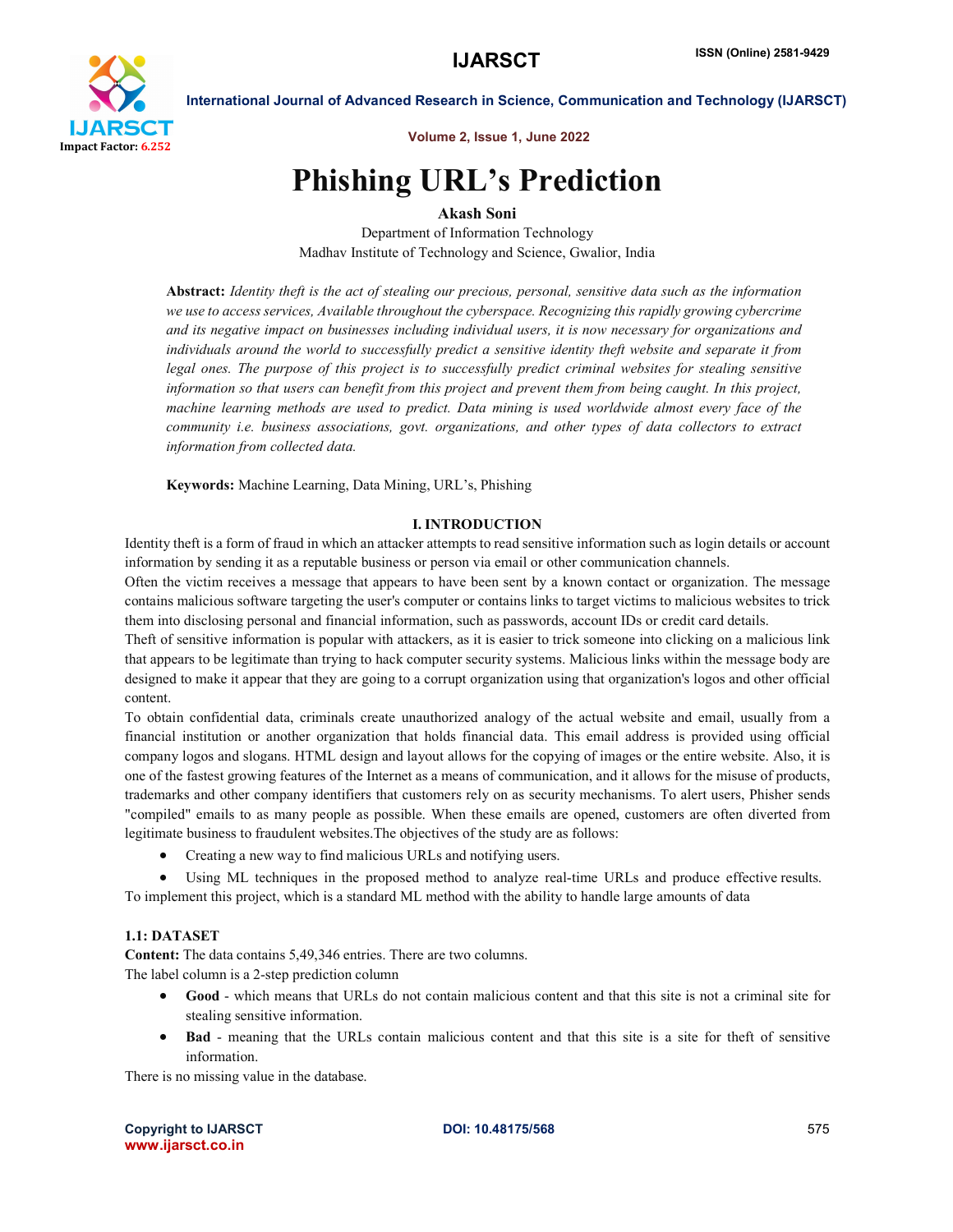

Volume 2, Issue 1, June 2022

# Phishing URL's Prediction

Akash Soni

Department of Information Technology Madhav Institute of Technology and Science, Gwalior, India

Abstract: *Identity theft is the act of stealing our precious, personal, sensitive data such as the information we use to access services, Available throughout the cyberspace. Recognizing this rapidly growing cybercrime and its negative impact on businesses including individual users, it is now necessary for organizations and individuals around the world to successfully predict a sensitive identity theft website and separate it from legal ones. The purpose of this project is to successfully predict criminal websites for stealing sensitive information so that users can benefit from this project and prevent them from being caught. In this project, machine learning methods are used to predict. Data mining is used worldwide almost every face of the community i.e. business associations, govt. organizations, and other types of data collectors to extract information from collected data.*

Keywords: Machine Learning, Data Mining, URL's, Phishing

# I. INTRODUCTION

Identity theft is a form of fraud in which an attacker attempts to read sensitive information such as login details or account information by sending it as a reputable business or person via email or other communication channels.

Often the victim receives a message that appears to have been sent by a known contact or organization. The message contains malicious software targeting the user's computer or contains links to target victims to malicious websites to trick them into disclosing personal and financial information, such as passwords, account IDs or credit card details.

Theft of sensitive information is popular with attackers, as it is easier to trick someone into clicking on a malicious link that appears to be legitimate than trying to hack computer security systems. Malicious links within the message body are designed to make it appear that they are going to a corrupt organization using that organization's logos and other official content.

To obtain confidential data, criminals create unauthorized analogy of the actual website and email, usually from a financial institution or another organization that holds financial data. This email address is provided using official company logos and slogans. HTML design and layout allows for the copying of images or the entire website. Also, it is one of the fastest growing features of the Internet as a means of communication, and it allows for the misuse of products, trademarks and other company identifiers that customers rely on as security mechanisms. To alert users, Phisher sends "compiled" emails to as many people as possible. When these emails are opened, customers are often diverted from legitimate business to fraudulent websites.The objectives of the study are as follows:

• Creating a new way to find malicious URLs and notifying users.

 Using ML techniques in the proposed method to analyze real-time URLs and produce effective results. To implement this project, which is a standard ML method with the ability to handle large amounts of data

# 1.1: DATASET

Content: The data contains 5,49,346 entries. There are two columns. The label column is a 2-step prediction column

- Good which means that URLs do not contain malicious content and that this site is not a criminal site for stealing sensitive information.
- Bad meaning that the URLs contain malicious content and that this site is a site for theft of sensitive information.

There is no missing value in the database.

Copyright to IJARSCT **DOI: 10.48175/568** 575 www.ijarsct.co.in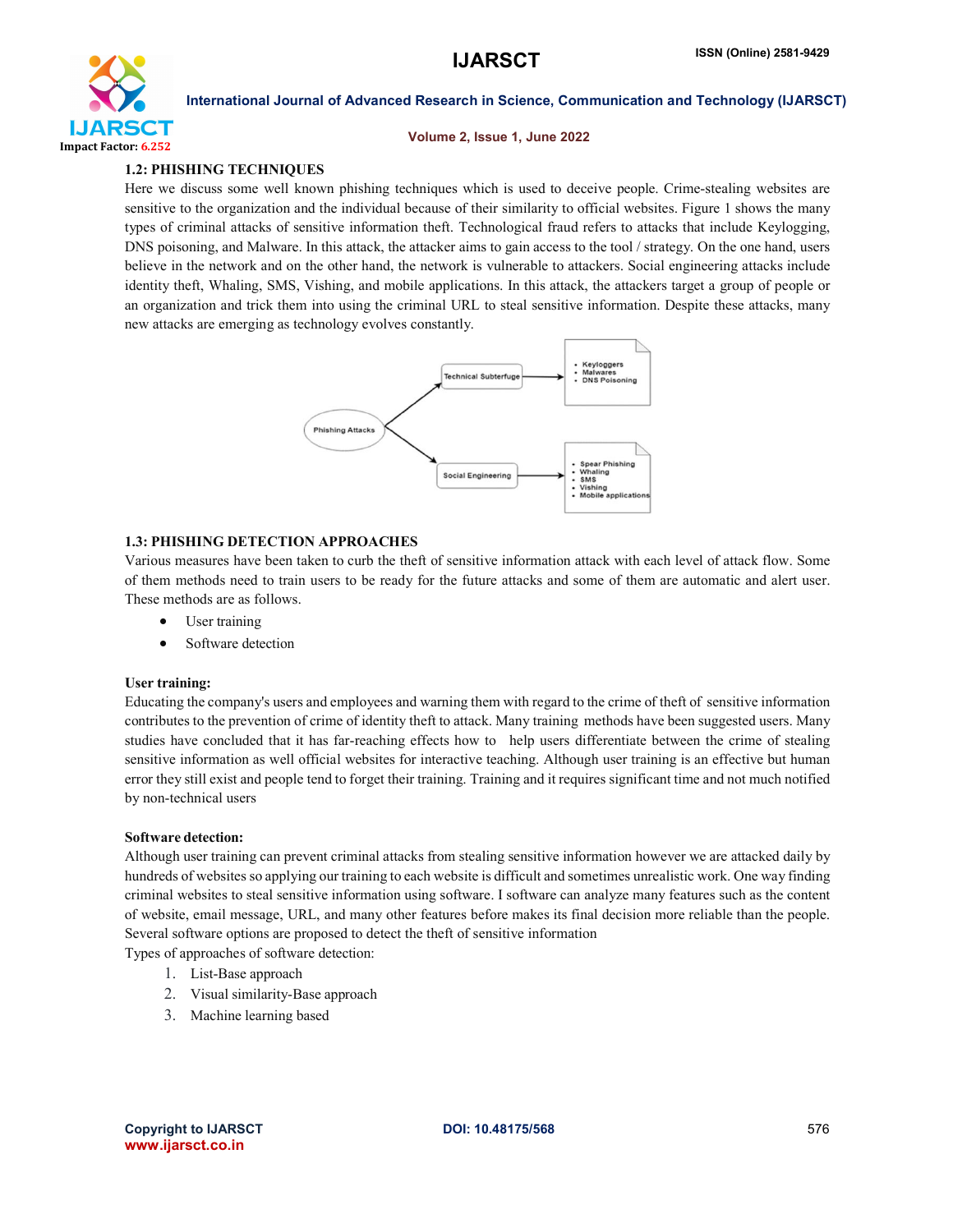

#### Volume 2, Issue 1, June 2022

# 1.2: PHISHING TECHNIQUES

Here we discuss some well known phishing techniques which is used to deceive people. Crime-stealing websites are sensitive to the organization and the individual because of their similarity to official websites. Figure 1 shows the many types of criminal attacks of sensitive information theft. Technological fraud refers to attacks that include Keylogging, DNS poisoning, and Malware. In this attack, the attacker aims to gain access to the tool / strategy. On the one hand, users believe in the network and on the other hand, the network is vulnerable to attackers. Social engineering attacks include identity theft, Whaling, SMS, Vishing, and mobile applications. In this attack, the attackers target a group of people or an organization and trick them into using the criminal URL to steal sensitive information. Despite these attacks, many new attacks are emerging as technology evolves constantly.



# 1.3: PHISHING DETECTION APPROACHES

Various measures have been taken to curb the theft of sensitive information attack with each level of attack flow. Some of them methods need to train users to be ready for the future attacks and some of them are automatic and alert user. These methods are as follows.

- User training
- Software detection

#### User training:

Educating the company's users and employees and warning them with regard to the crime of theft of sensitive information contributes to the prevention of crime of identity theft to attack. Many training methods have been suggested users. Many studies have concluded that it has far-reaching effects how to help users differentiate between the crime of stealing sensitive information as well official websites for interactive teaching. Although user training is an effective but human error they still exist and people tend to forget their training. Training and it requires significant time and not much notified by non-technical users

#### Software detection:

Although user training can prevent criminal attacks from stealing sensitive information however we are attacked daily by hundreds of websites so applying our training to each website is difficult and sometimes unrealistic work. One way finding criminal websites to steal sensitive information using software. I software can analyze many features such as the content of website, email message, URL, and many other features before makes its final decision more reliable than the people. Several software options are proposed to detect the theft of sensitive information

Types of approaches of software detection:

- 1. List-Base approach
- 2. Visual similarity-Base approach
- 3. Machine learning based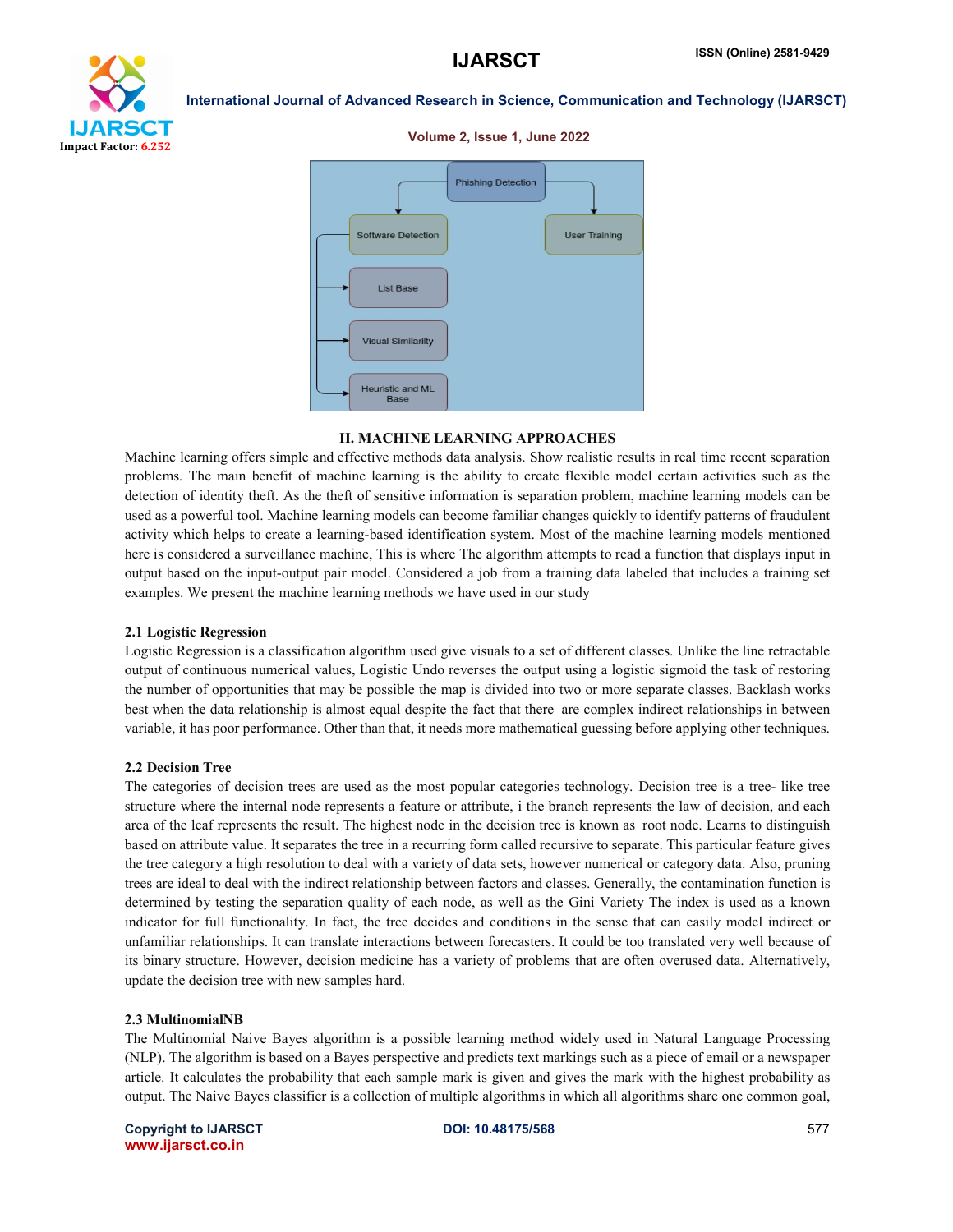

### Volume 2, Issue 1, June 2022



#### II. MACHINE LEARNING APPROACHES

Machine learning offers simple and effective methods data analysis. Show realistic results in real time recent separation problems. The main benefit of machine learning is the ability to create flexible model certain activities such as the detection of identity theft. As the theft of sensitive information is separation problem, machine learning models can be used as a powerful tool. Machine learning models can become familiar changes quickly to identify patterns of fraudulent activity which helps to create a learning-based identification system. Most of the machine learning models mentioned here is considered a surveillance machine, This is where The algorithm attempts to read a function that displays input in output based on the input-output pair model. Considered a job from a training data labeled that includes a training set examples. We present the machine learning methods we have used in our study

#### 2.1 Logistic Regression

Logistic Regression is a classification algorithm used give visuals to a set of different classes. Unlike the line retractable output of continuous numerical values, Logistic Undo reverses the output using a logistic sigmoid the task of restoring the number of opportunities that may be possible the map is divided into two or more separate classes. Backlash works best when the data relationship is almost equal despite the fact that there are complex indirect relationships in between variable, it has poor performance. Other than that, it needs more mathematical guessing before applying other techniques.

#### 2.2 Decision Tree

The categories of decision trees are used as the most popular categories technology. Decision tree is a tree- like tree structure where the internal node represents a feature or attribute, i the branch represents the law of decision, and each area of the leaf represents the result. The highest node in the decision tree is known as root node. Learns to distinguish based on attribute value. It separates the tree in a recurring form called recursive to separate. This particular feature gives the tree category a high resolution to deal with a variety of data sets, however numerical or category data. Also, pruning trees are ideal to deal with the indirect relationship between factors and classes. Generally, the contamination function is determined by testing the separation quality of each node, as well as the Gini Variety The index is used as a known indicator for full functionality. In fact, the tree decides and conditions in the sense that can easily model indirect or unfamiliar relationships. It can translate interactions between forecasters. It could be too translated very well because of its binary structure. However, decision medicine has a variety of problems that are often overused data. Alternatively, update the decision tree with new samples hard.

#### 2.3 MultinomialNB

The Multinomial Naive Bayes algorithm is a possible learning method widely used in Natural Language Processing (NLP). The algorithm is based on a Bayes perspective and predicts text markings such as a piece of email or a newspaper article. It calculates the probability that each sample mark is given and gives the mark with the highest probability as output. The Naive Bayes classifier is a collection of multiple algorithms in which all algorithms share one common goal,

Copyright to IJARSCT **DOI: 10.48175/568 Example 2012 Copyright to IJARSCT** 577 www.ijarsct.co.in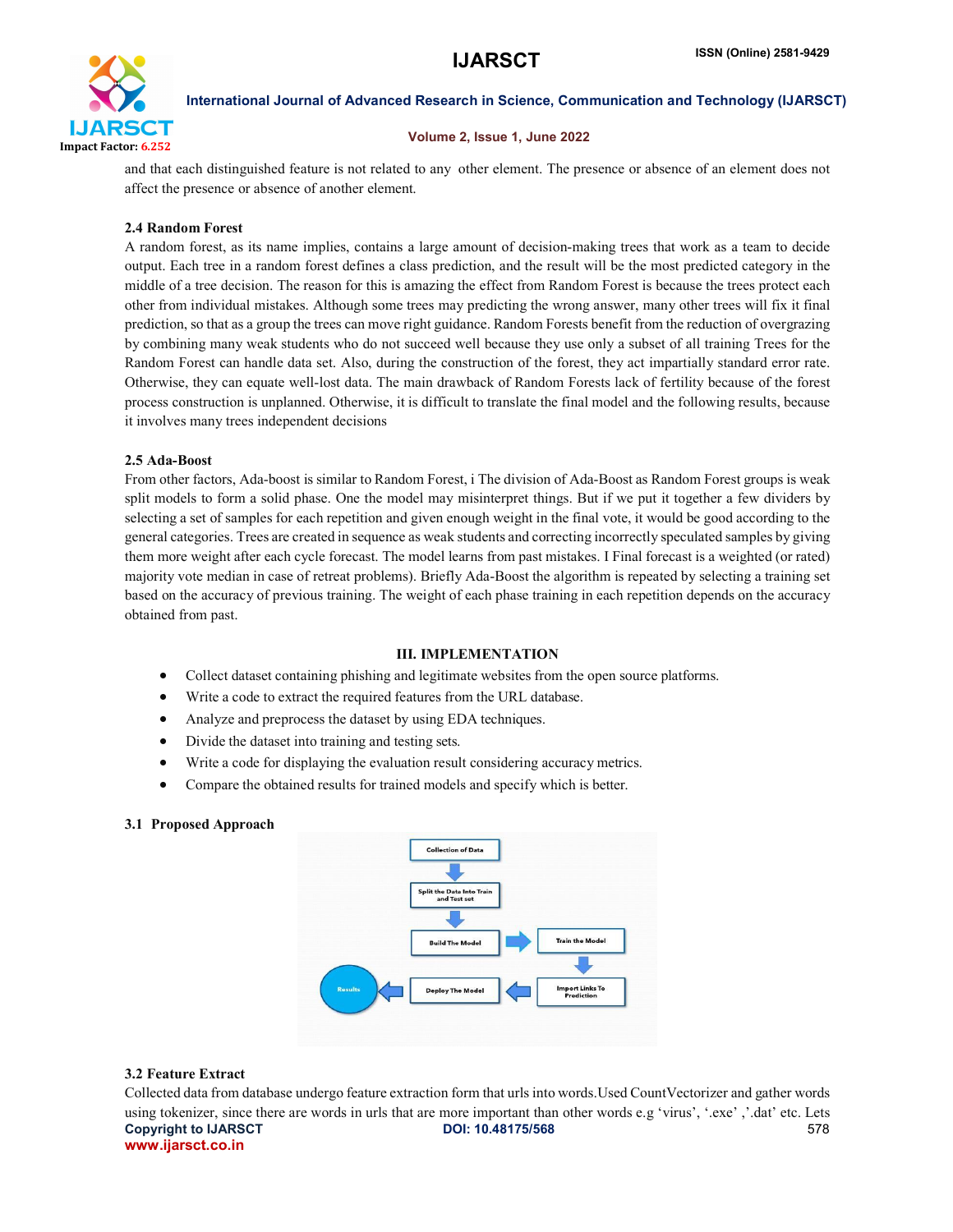

#### Volume 2, Issue 1, June 2022

and that each distinguished feature is not related to any other element. The presence or absence of an element does not affect the presence or absence of another element.

### 2.4 Random Forest

A random forest, as its name implies, contains a large amount of decision-making trees that work as a team to decide output. Each tree in a random forest defines a class prediction, and the result will be the most predicted category in the middle of a tree decision. The reason for this is amazing the effect from Random Forest is because the trees protect each other from individual mistakes. Although some trees may predicting the wrong answer, many other trees will fix it final prediction, so that as a group the trees can move right guidance. Random Forests benefit from the reduction of overgrazing by combining many weak students who do not succeed well because they use only a subset of all training Trees for the Random Forest can handle data set. Also, during the construction of the forest, they act impartially standard error rate. Otherwise, they can equate well-lost data. The main drawback of Random Forests lack of fertility because of the forest process construction is unplanned. Otherwise, it is difficult to translate the final model and the following results, because it involves many trees independent decisions

#### 2.5 Ada-Boost

From other factors, Ada-boost is similar to Random Forest, i The division of Ada-Boost as Random Forest groups is weak split models to form a solid phase. One the model may misinterpret things. But if we put it together a few dividers by selecting a set of samples for each repetition and given enough weight in the final vote, it would be good according to the general categories. Trees are created in sequence as weak students and correcting incorrectly speculated samples by giving them more weight after each cycle forecast. The model learns from past mistakes. I Final forecast is a weighted (or rated) majority vote median in case of retreat problems). Briefly Ada-Boost the algorithm is repeated by selecting a training set based on the accuracy of previous training. The weight of each phase training in each repetition depends on the accuracy obtained from past.

#### III. IMPLEMENTATION

- Collect dataset containing phishing and legitimate websites from the open source platforms.
- Write a code to extract the required features from the URL database.
- Analyze and preprocess the dataset by using EDA techniques.
- Divide the dataset into training and testing sets.
- Write a code for displaying the evaluation result considering accuracy metrics.
- Compare the obtained results for trained models and specify which is better.

#### 3.1 Proposed Approach



#### 3.2 Feature Extract

Copyright to IJARSCT **DOI: 10.48175/568** 578 www.ijarsct.co.in Collected data from database undergo feature extraction form that urls into words.Used CountVectorizer and gather words using tokenizer, since there are words in urls that are more important than other words e.g 'virus', '.exe','.dat' etc. Lets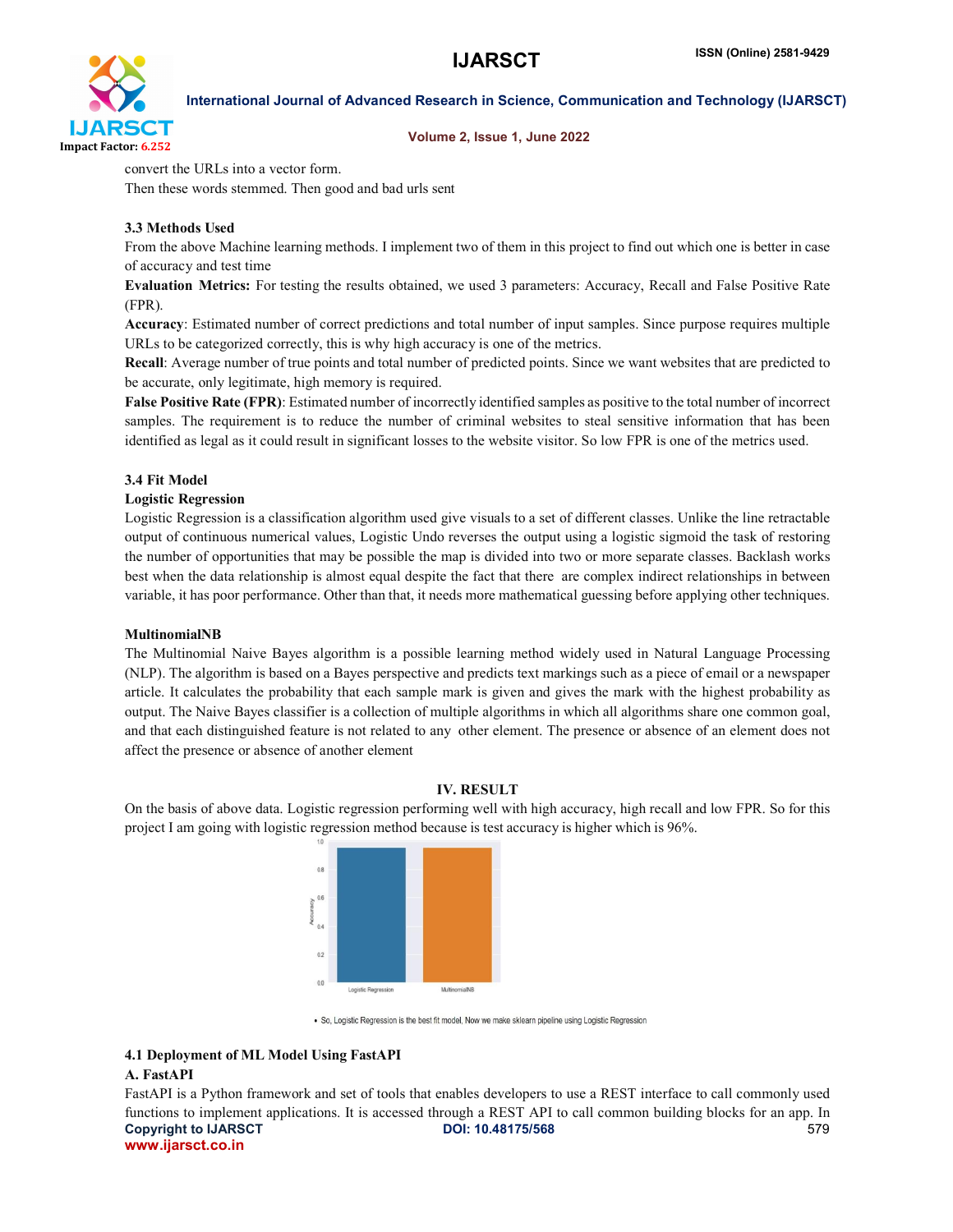

Volume 2, Issue 1, June 2022

convert the URLs into a vector form.

Then these words stemmed. Then good and bad urls sent

# 3.3 Methods Used

From the above Machine learning methods. I implement two of them in this project to find out which one is better in case of accuracy and test time

Evaluation Metrics: For testing the results obtained, we used 3 parameters: Accuracy, Recall and False Positive Rate (FPR).

Accuracy: Estimated number of correct predictions and total number of input samples. Since purpose requires multiple URLs to be categorized correctly, this is why high accuracy is one of the metrics.

Recall: Average number of true points and total number of predicted points. Since we want websites that are predicted to be accurate, only legitimate, high memory is required.

False Positive Rate (FPR): Estimated number of incorrectly identified samples as positive to the total number of incorrect samples. The requirement is to reduce the number of criminal websites to steal sensitive information that has been identified as legal as it could result in significant losses to the website visitor. So low FPR is one of the metrics used.

# 3.4 Fit Model

#### Logistic Regression

Logistic Regression is a classification algorithm used give visuals to a set of different classes. Unlike the line retractable output of continuous numerical values, Logistic Undo reverses the output using a logistic sigmoid the task of restoring the number of opportunities that may be possible the map is divided into two or more separate classes. Backlash works best when the data relationship is almost equal despite the fact that there are complex indirect relationships in between variable, it has poor performance. Other than that, it needs more mathematical guessing before applying other techniques.

#### MultinomialNB

The Multinomial Naive Bayes algorithm is a possible learning method widely used in Natural Language Processing (NLP). The algorithm is based on a Bayes perspective and predicts text markings such as a piece of email or a newspaper article. It calculates the probability that each sample mark is given and gives the mark with the highest probability as output. The Naive Bayes classifier is a collection of multiple algorithms in which all algorithms share one common goal, and that each distinguished feature is not related to any other element. The presence or absence of an element does not affect the presence or absence of another element

#### IV. RESULT

On the basis of above data. Logistic regression performing well with high accuracy, high recall and low FPR. So for this project I am going with logistic regression method because is test accuracy is higher which is 96%.



. So, Logistic Regression is the best fit model, Now we make sklearn pipeline using Logistic Regression

# 4.1 Deployment of ML Model Using FastAPI A. FastAPI

Copyright to IJARSCT **DOI: 10.48175/568** 579 www.ijarsct.co.in FastAPI is a Python framework and set of tools that enables developers to use a REST interface to call commonly used functions to implement applications. It is accessed through a REST API to call common building blocks for an app. In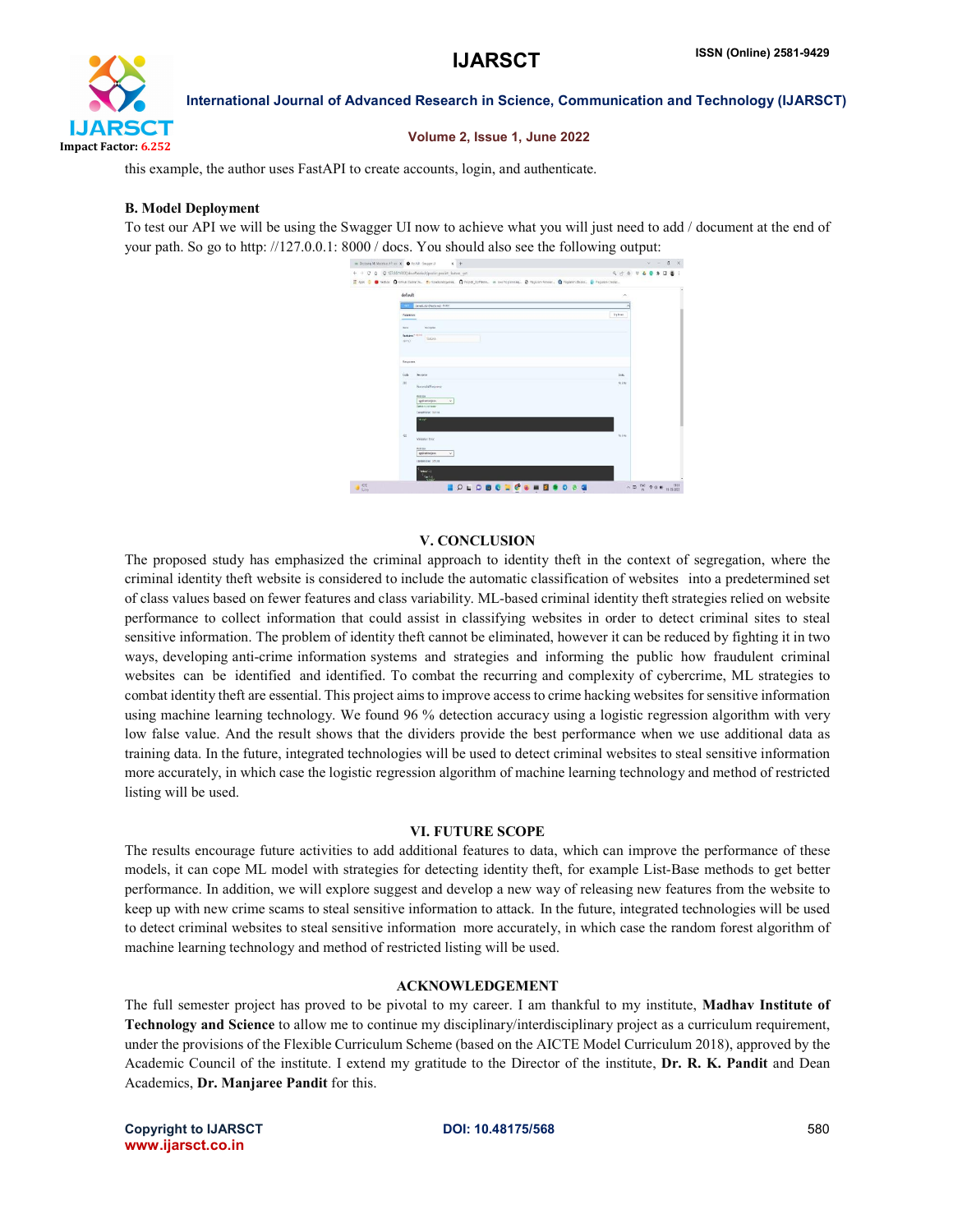

### Volume 2, Issue 1, June 2022

this example, the author uses FastAPI to create accounts, login, and authenticate.

### B. Model Deployment

To test our API we will be using the Swagger UI now to achieve what you will just need to add / document at the end of your path. So go to http: //127.0.0.1: 8000 / docs. You should also see the following output:



# V. CONCLUSION

The proposed study has emphasized the criminal approach to identity theft in the context of segregation, where the criminal identity theft website is considered to include the automatic classification of websites into a predetermined set of class values based on fewer features and class variability. ML-based criminal identity theft strategies relied on website performance to collect information that could assist in classifying websites in order to detect criminal sites to steal sensitive information. The problem of identity theft cannot be eliminated, however it can be reduced by fighting it in two ways, developing anti-crime information systems and strategies and informing the public how fraudulent criminal websites can be identified and identified. To combat the recurring and complexity of cybercrime, ML strategies to combat identity theft are essential. This project aims to improve access to crime hacking websites for sensitive information using machine learning technology. We found 96 % detection accuracy using a logistic regression algorithm with very low false value. And the result shows that the dividers provide the best performance when we use additional data as training data. In the future, integrated technologies will be used to detect criminal websites to steal sensitive information more accurately, in which case the logistic regression algorithm of machine learning technology and method of restricted listing will be used.

#### VI. FUTURE SCOPE

The results encourage future activities to add additional features to data, which can improve the performance of these models, it can cope ML model with strategies for detecting identity theft, for example List-Base methods to get better performance. In addition, we will explore suggest and develop a new way of releasing new features from the website to keep up with new crime scams to steal sensitive information to attack. In the future, integrated technologies will be used to detect criminal websites to steal sensitive information more accurately, in which case the random forest algorithm of machine learning technology and method of restricted listing will be used.

#### ACKNOWLEDGEMENT

The full semester project has proved to be pivotal to my career. I am thankful to my institute, Madhav Institute of Technology and Science to allow me to continue my disciplinary/interdisciplinary project as a curriculum requirement, under the provisions of the Flexible Curriculum Scheme (based on the AICTE Model Curriculum 2018), approved by the Academic Council of the institute. I extend my gratitude to the Director of the institute, Dr. R. K. Pandit and Dean Academics, Dr. Manjaree Pandit for this.